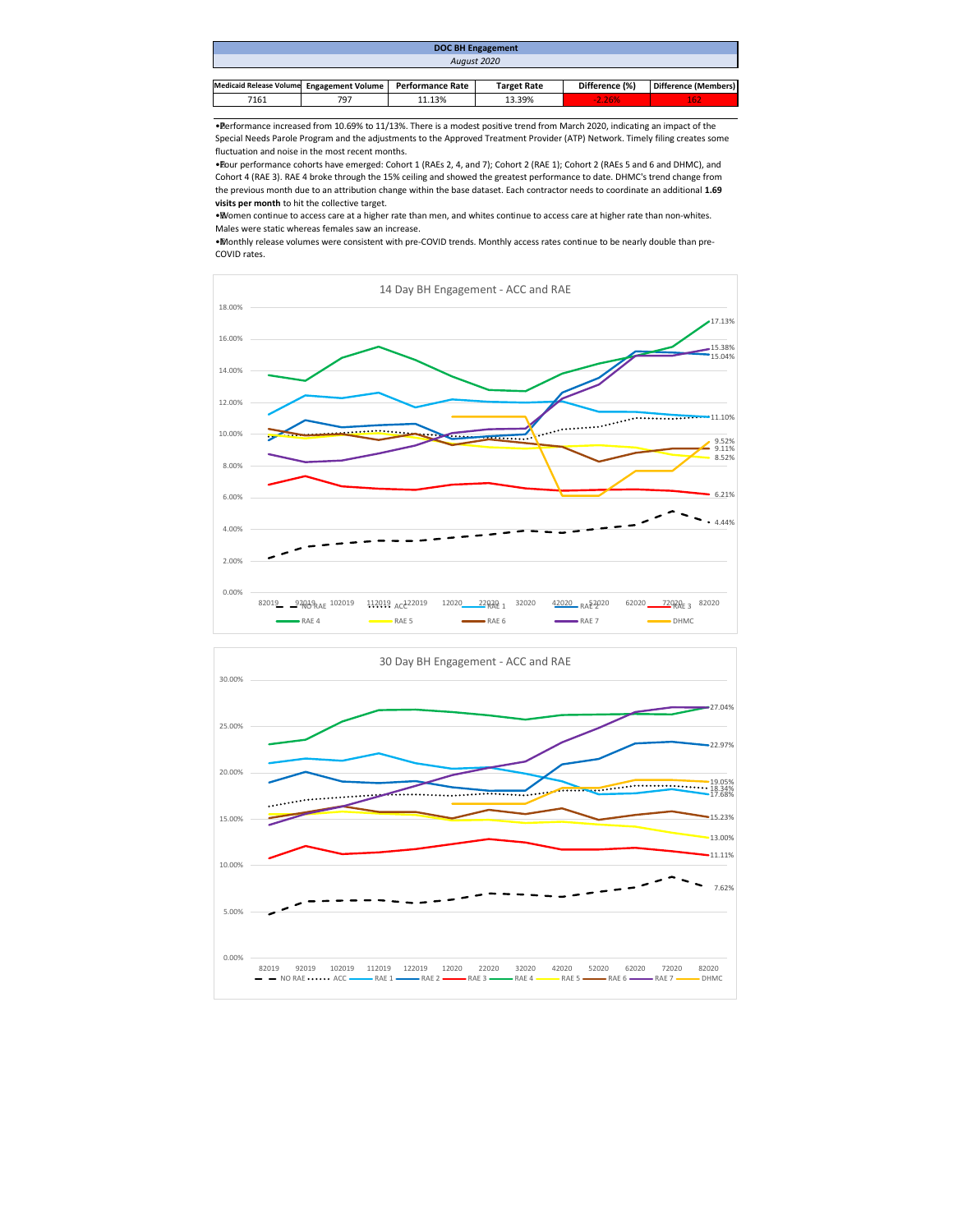| <b>DOC BH Engagement</b>                  |     |                  |                    |                |                      |  |  |  |  |
|-------------------------------------------|-----|------------------|--------------------|----------------|----------------------|--|--|--|--|
| August 2020                               |     |                  |                    |                |                      |  |  |  |  |
|                                           |     |                  |                    |                |                      |  |  |  |  |
| Medicaid Release Volume Engagement Volume |     | Performance Rate | <b>Target Rate</b> | Difference (%) | Difference (Members) |  |  |  |  |
| 7161                                      | 797 | 11.13%           | 13.39%             | $-2.26%$       | 162                  |  |  |  |  |

• Performance increased from 10.69% to 11/13%. There is a modest positive trend from March 2020, indicating an impact of the Special Needs Parole Program and the adjustments to the Approved Treatment Provider (ATP) Network. Timely filing creates some fluctuation and noise in the most recent months.

• Four performance cohorts have emerged: Cohort 1 (RAEs 2, 4, and 7); Cohort 2 (RAE 1); Cohort 2 (RAEs 5 and 6 and DHMC), and Cohort 4 (RAE 3). RAE 4 broke through the 15% ceiling and showed the greatest performance to date. DHMC's trend change from the previous month due to an attribution change within the base dataset. Each contractor needs to coordinate an additional **1.69 visits per month** to hit the collective target.

• Women continue to access care at a higher rate than men, and whites continue to access care at higher rate than non-whites. Males were static whereas females saw an increase.

• Monthly release volumes were consistent with pre-COVID trends. Monthly access rates continue to be nearly double than pre-COVID rates.